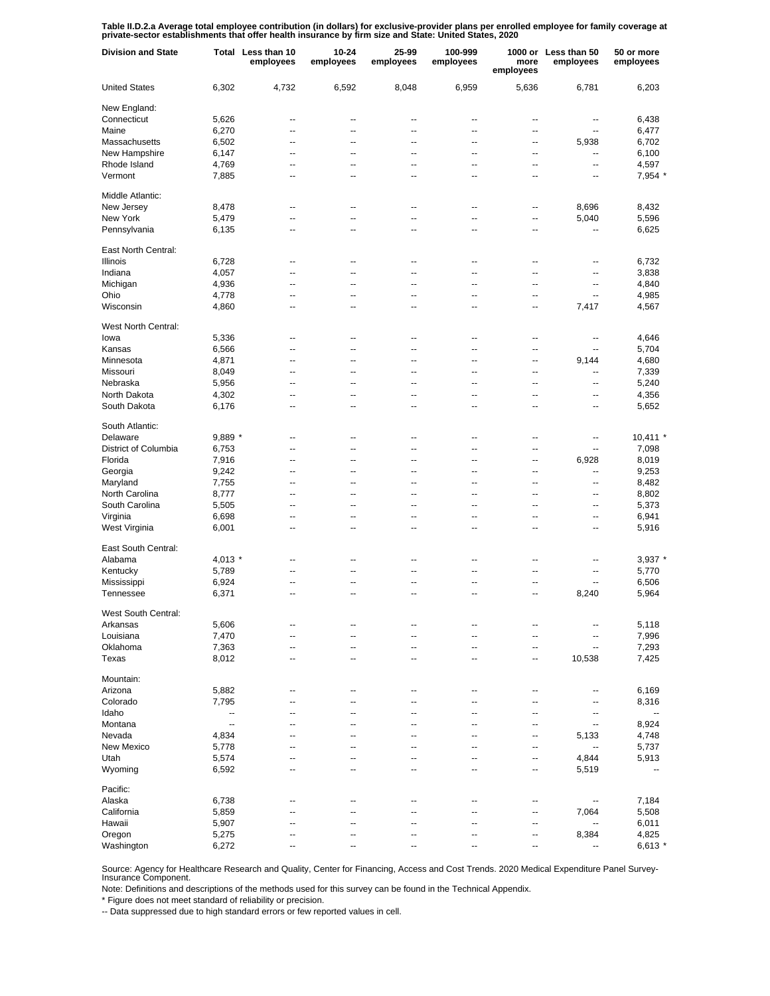Table II.D.2.a Average total employee contribution (in dollars) for exclusive-provider plans per enrolled employee for family coverage at<br>private-sector establishments that offer health insurance by firm size and State: Un

| <b>Division and State</b> |           | Total Less than 10<br>employees | 10-24<br>employees | 25-99<br>employees | 100-999<br>employees | more<br>employees | 1000 or Less than 50<br>employees | 50 or more<br>employees |
|---------------------------|-----------|---------------------------------|--------------------|--------------------|----------------------|-------------------|-----------------------------------|-------------------------|
| <b>United States</b>      | 6,302     | 4,732                           | 6,592              | 8,048              | 6,959                | 5,636             | 6,781                             | 6,203                   |
| New England:              |           |                                 |                    |                    |                      |                   |                                   |                         |
| Connecticut               | 5,626     | --                              | --                 | --                 | --                   | --                | --                                | 6,438                   |
| Maine                     | 6,270     | $\overline{a}$                  | --                 | $\overline{a}$     | $\overline{a}$       | $\overline{a}$    | --                                | 6,477                   |
| Massachusetts             | 6,502     | --                              | --                 | --                 | --                   | $\overline{a}$    | 5,938                             | 6,702                   |
| New Hampshire             | 6,147     | --                              | --                 | --                 | --                   | --                | --                                | 6,100                   |
| Rhode Island              | 4,769     | --                              | --                 | --                 | --                   | --                | --                                | 4,597                   |
| Vermont                   | 7,885     | --                              | --                 | --                 | --                   | --                | --                                | 7,954 *                 |
| Middle Atlantic:          |           |                                 |                    |                    |                      |                   |                                   |                         |
| New Jersey                | 8,478     | $\overline{a}$                  | --                 | $\overline{a}$     | --                   | --                | 8,696                             | 8,432                   |
| New York                  | 5,479     | $\overline{a}$                  | Ξ.                 | Ξ.                 | Ξ.                   | --                | 5,040                             | 5,596                   |
| Pennsylvania              | 6,135     | --                              | --                 | $\overline{a}$     | $\overline{a}$       | --                | --                                | 6,625                   |
| East North Central:       |           |                                 |                    |                    |                      |                   |                                   |                         |
| <b>Illinois</b>           | 6,728     | --                              | --                 | ٠.                 | --                   | ٠.                | --                                | 6,732                   |
| Indiana                   | 4,057     | --                              | --                 | ٠.                 | --                   | ٠.                | --                                | 3,838                   |
| Michigan                  | 4,936     | --                              | --                 | --                 | --                   | ٠.                | --                                | 4,840                   |
| Ohio                      | 4,778     | --                              | --                 | ٠.                 | --                   | ц.                | --                                | 4,985                   |
| Wisconsin                 | 4,860     | --                              | --                 | ٠.                 | --                   | ٠.                | 7,417                             | 4,567                   |
| West North Central:       |           |                                 |                    |                    |                      |                   |                                   |                         |
| lowa                      | 5,336     | --                              | --                 | --                 | --                   | --                | --                                | 4,646                   |
| Kansas                    | 6,566     | --                              | --                 | --                 | --                   | --                | --                                | 5,704                   |
| Minnesota                 | 4,871     | --                              | --                 | --                 | --                   | --                | 9,144                             | 4,680                   |
| Missouri                  | 8,049     | --                              | $\overline{a}$     | $\overline{a}$     | --                   | --                | --                                | 7,339                   |
| Nebraska                  | 5,956     | --                              | --                 | --                 | --                   | --                | --                                | 5,240                   |
| North Dakota              | 4,302     | --                              | --                 | --                 | --                   | --                | --                                | 4,356                   |
| South Dakota              | 6,176     | --                              | --                 | --                 | --                   | --                | --                                | 5,652                   |
| South Atlantic:           |           |                                 |                    |                    |                      |                   |                                   |                         |
| Delaware                  | $9,889$ * | Ξ.                              | --                 | ٠.                 | --                   | ц.                | --                                | $10,411$ *              |
| District of Columbia      | 6,753     | Ξ.                              | Ξ.                 | Ξ.                 | Ξ.                   | ä.                | --                                | 7,098                   |
| Florida                   | 7,916     | $\overline{a}$                  | --                 | $\overline{a}$     | $\overline{a}$       | ä.                | 6,928                             | 8,019                   |
| Georgia                   | 9,242     | $\overline{a}$                  | --                 | $\overline{a}$     | $\overline{a}$       | --                | ц,                                | 9,253                   |
| Maryland                  | 7,755     | $\overline{a}$                  | --                 | $\overline{a}$     | $\overline{a}$       | $\overline{a}$    | --                                | 8,482                   |
| North Carolina            | 8,777     | $\overline{a}$                  | --                 | $\overline{a}$     | $\overline{a}$       | $\overline{a}$    | --                                | 8,802                   |
| South Carolina            | 5,505     | $\overline{a}$                  | --                 | $\overline{a}$     | $\overline{a}$       | $\overline{a}$    | --                                | 5,373                   |
| Virginia                  | 6,698     | --                              | --                 | ٠.                 | $\overline{a}$       | $\overline{a}$    | ٠.                                | 6,941                   |
| West Virginia             | 6,001     | --                              | --                 | $\overline{a}$     | $\overline{a}$       | $\overline{a}$    | ٠.                                | 5,916                   |
| East South Central:       |           |                                 |                    |                    |                      |                   |                                   |                         |
| Alabama                   | $4,013$ * | --                              | --                 | ٠.                 | --                   | ٠.                | --                                | $3,937$ $*$             |
| Kentucky                  | 5,789     | --                              | --                 | --                 | --                   | ٠.                | --                                | 5,770                   |
| Mississippi               | 6,924     | --                              | --                 | ٠.                 | --                   | ٠.                | ٠.                                | 6,506                   |
| Tennessee                 | 6,371     | --                              | --                 | ٠.                 | --                   | --                | 8,240                             | 5,964                   |
| West South Central:       |           |                                 |                    |                    |                      |                   |                                   |                         |
| Arkansas                  | 5,606     | --                              | --                 | --                 | --                   | --                | --                                | 5,118                   |
| Louisiana                 | 7,470     | --                              | --                 | --                 | --                   | --                | $\overline{\phantom{a}}$          | 7,996                   |
| Oklahoma                  | 7,363     | --                              | --                 | --                 | --                   | --                | $\overline{\phantom{a}}$          | 7,293                   |
| Texas                     | 8,012     | --                              | --                 | --                 | --                   | --                | 10,538                            | 7,425                   |
| Mountain:                 |           |                                 |                    |                    |                      |                   |                                   |                         |
| Arizona                   | 5,882     | --                              | --                 | ٠.                 | --                   | ц.                | --                                | 6,169                   |
| Colorado                  | 7,795     | $\overline{a}$                  | --                 | $\overline{a}$     | $\overline{a}$       | $\overline{a}$    | --                                | 8,316                   |
| Idaho                     | --        | $\overline{a}$                  | --                 | --                 | --                   | $\overline{a}$    | --                                | $\overline{a}$          |
| Montana                   | --        | --                              | --                 | --                 | --                   | $\overline{a}$    | --                                | 8,924                   |
| Nevada                    | 4,834     | --                              | --                 | --                 | --                   | --                | 5,133                             | 4,748                   |
| <b>New Mexico</b>         | 5,778     | --                              | --                 | --                 | --                   | ц.                | $\overline{\phantom{a}}$          | 5,737                   |
| Utah                      | 5,574     | $\overline{a}$                  | --                 | $\overline{a}$     | $\overline{a}$       | --                | 4,844                             | 5,913                   |
| Wyoming                   | 6,592     | $\overline{a}$                  | --                 | $\overline{a}$     | $\overline{a}$       | --                | 5,519                             | --                      |
| Pacific:                  |           |                                 |                    |                    |                      |                   |                                   |                         |
| Alaska                    | 6,738     | --                              | --                 | ٠.                 | --                   | --                | --                                | 7,184                   |
| California                | 5,859     |                                 |                    |                    |                      | ٠.                | 7,064                             | 5,508                   |
| Hawaii                    | 5,907     | --                              | --                 | ٠.                 | --                   | --                | $\overline{\phantom{a}}$          | 6,011                   |
| Oregon                    | 5,275     |                                 |                    |                    |                      | ٠.                | 8,384                             | 4,825                   |
| Washington                | 6,272     |                                 |                    |                    |                      | --                |                                   | $6,613*$                |

Source: Agency for Healthcare Research and Quality, Center for Financing, Access and Cost Trends. 2020 Medical Expenditure Panel Survey-Insurance Component.

Note: Definitions and descriptions of the methods used for this survey can be found in the Technical Appendix.

\* Figure does not meet standard of reliability or precision.

-- Data suppressed due to high standard errors or few reported values in cell.